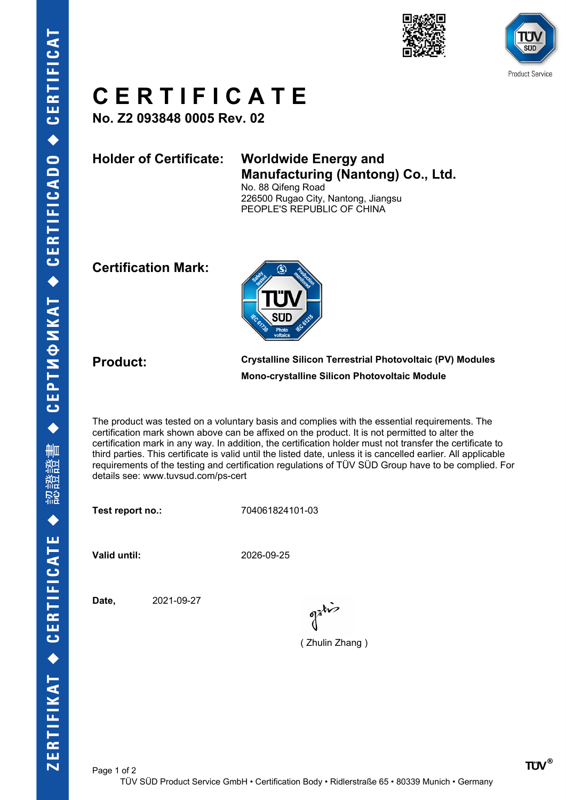



# **C E R T I F I C A T E**

**No. Z2 093848 0005 Rev. 02**

## **Holder of Certificate: Worldwide Energy and Manufacturing (Nantong) Co., Ltd.**

No. 88 Qifeng Road 226500 Rugao City, Nantong, Jiangsu PEOPLE'S REPUBLIC OF CHINA

### **Certification Mark:**



**Product: Crystalline Silicon Terrestrial Photovoltaic (PV) Modules Mono-crystalline Silicon Photovoltaic Module**

The product was tested on a voluntary basis and complies with the essential requirements. The certification mark shown above can be affixed on the product. It is not permitted to alter the certification mark in any way. In addition, the certification holder must not transfer the certificate to third parties. This certificate is valid until the listed date, unless it is cancelled earlier. All applicable requirements of the testing and certification regulations of TÜV SÜD Group have to be complied. For details see: www.tuvsud.com/ps-cert

**Test report no.:** 704061824101-03

**Valid until:** 2026-09-25

**Date,** 2021-09-27

 $\int_0^{\frac{1}{2}} dx$ 

( Zhulin Zhang )